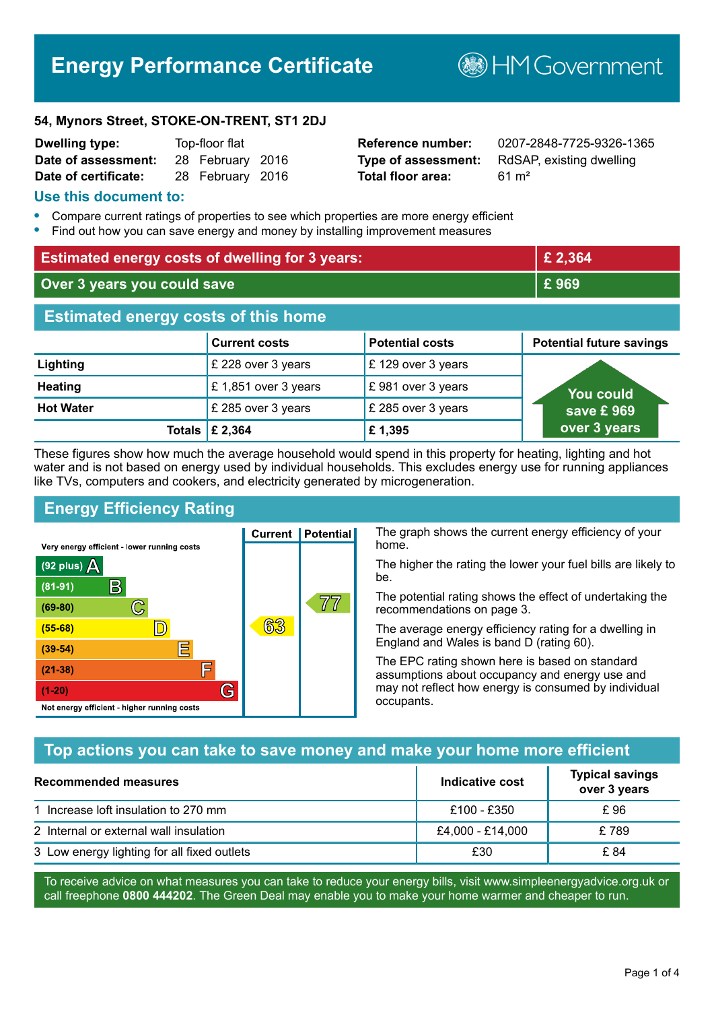# **Energy Performance Certificate**

**B**HM Government

#### **54, Mynors Street, STOKE-ON-TRENT, ST1 2DJ**

| <b>Dwelling type:</b> | Top-floor flat |                  |  |
|-----------------------|----------------|------------------|--|
| Date of assessment:   |                | 28 February 2016 |  |
| Date of certificate:  |                | 28 February 2016 |  |

# **Total floor area:** 61 m<sup>2</sup>

**Reference number:** 0207-2848-7725-9326-1365 **Type of assessment:** RdSAP, existing dwelling

### **Use this document to:**

- **•** Compare current ratings of properties to see which properties are more energy efficient
- **•** Find out how you can save energy and money by installing improvement measures

| <b>Estimated energy costs of dwelling for 3 years:</b> |                           |                        | £ 2,364                         |
|--------------------------------------------------------|---------------------------|------------------------|---------------------------------|
| Over 3 years you could save                            |                           |                        | £969                            |
| <b>Estimated energy costs of this home</b>             |                           |                        |                                 |
|                                                        | <b>Current costs</b>      | <b>Potential costs</b> | <b>Potential future savings</b> |
| Lighting                                               | £ 228 over 3 years        | £ 129 over 3 years     |                                 |
| <b>Heating</b>                                         | £1,851 over 3 years       | £981 over 3 years      | You could                       |
| <b>Hot Water</b>                                       | £ 285 over 3 years        | £ 285 over 3 years     | save £969                       |
|                                                        | Totals $\mathsf{E}$ 2,364 | £1,395                 | over 3 years                    |

These figures show how much the average household would spend in this property for heating, lighting and hot water and is not based on energy used by individual households. This excludes energy use for running appliances like TVs, computers and cookers, and electricity generated by microgeneration.

**Current | Potential** 

63

# **Energy Efficiency Rating**

 $\mathbb{C}$ 

 $\mathbb{D}$ 

E

庐

G

Very energy efficient - lower running costs

R

Not energy efficient - higher running costs

 $(92$  plus)

 $(81 - 91)$ 

 $(69 - 80)$ 

 $(55-68)$ 

 $(39 - 54)$ 

 $(21-38)$ 

 $(1-20)$ 

- 78

The graph shows the current energy efficiency of your home.

The higher the rating the lower your fuel bills are likely to be.

The potential rating shows the effect of undertaking the recommendations on page 3.

The average energy efficiency rating for a dwelling in England and Wales is band D (rating 60).

The EPC rating shown here is based on standard assumptions about occupancy and energy use and may not reflect how energy is consumed by individual occupants.

# **Top actions you can take to save money and make your home more efficient**

77

| <b>Recommended measures</b>                 | Indicative cost  | <b>Typical savings</b><br>over 3 years |
|---------------------------------------------|------------------|----------------------------------------|
| 1 Increase loft insulation to 270 mm        | £100 - £350      | £ 96                                   |
| 2 Internal or external wall insulation      | £4,000 - £14,000 | £789                                   |
| 3 Low energy lighting for all fixed outlets | £30              | £ 84                                   |

To receive advice on what measures you can take to reduce your energy bills, visit www.simpleenergyadvice.org.uk or call freephone **0800 444202**. The Green Deal may enable you to make your home warmer and cheaper to run.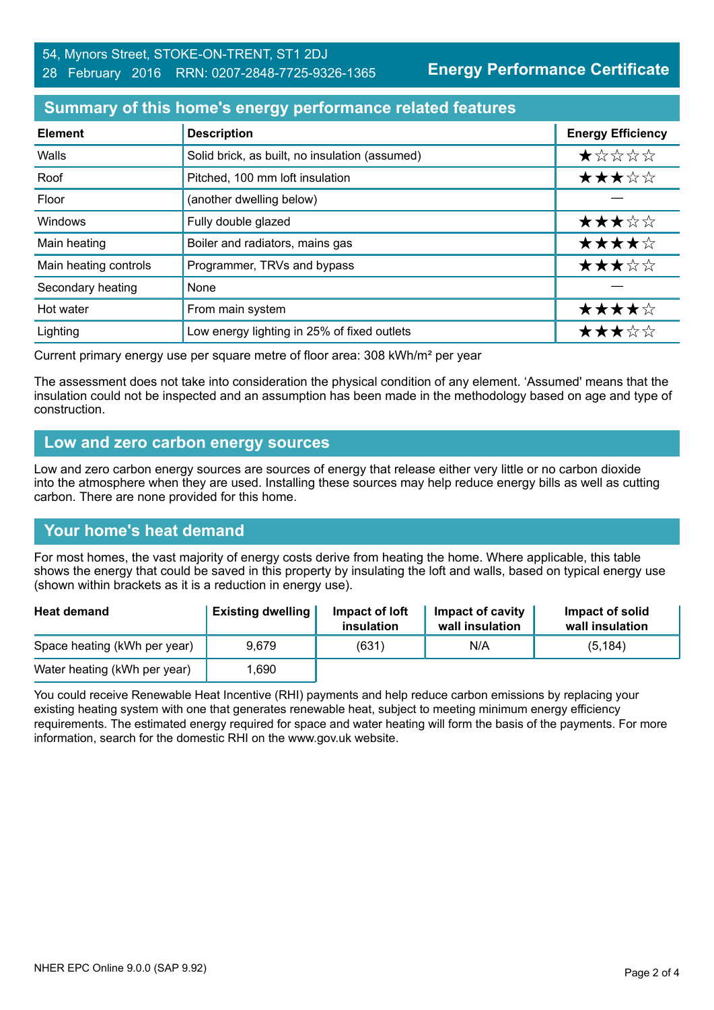# 54, Mynors Street, STOKE-ON-TRENT, ST1 2DJ 28 February 2016 RRN: 0207-2848-7725-9326-1365

**Energy Performance Certificate**

## **Summary of this home's energy performance related features**

| <b>Element</b>        | <b>Description</b>                             | <b>Energy Efficiency</b> |
|-----------------------|------------------------------------------------|--------------------------|
| Walls                 | Solid brick, as built, no insulation (assumed) | *****                    |
| Roof                  | Pitched, 100 mm loft insulation                | ★★★☆☆                    |
| Floor                 | (another dwelling below)                       |                          |
| Windows               | Fully double glazed                            | ★★★☆☆                    |
| Main heating          | Boiler and radiators, mains gas                | ★★★★☆                    |
| Main heating controls | Programmer, TRVs and bypass                    | ★★★☆☆                    |
| Secondary heating     | None                                           |                          |
| Hot water             | From main system                               | ★★★★☆                    |
| Lighting              | Low energy lighting in 25% of fixed outlets    | ★★★☆☆                    |

Current primary energy use per square metre of floor area: 308 kWh/m² per year

The assessment does not take into consideration the physical condition of any element. 'Assumed' means that the insulation could not be inspected and an assumption has been made in the methodology based on age and type of construction.

#### **Low and zero carbon energy sources**

Low and zero carbon energy sources are sources of energy that release either very little or no carbon dioxide into the atmosphere when they are used. Installing these sources may help reduce energy bills as well as cutting carbon. There are none provided for this home.

# **Your home's heat demand**

For most homes, the vast majority of energy costs derive from heating the home. Where applicable, this table shows the energy that could be saved in this property by insulating the loft and walls, based on typical energy use (shown within brackets as it is a reduction in energy use).

| <b>Heat demand</b>           | <b>Existing dwelling</b> | Impact of loft<br>insulation | Impact of cavity<br>wall insulation | Impact of solid<br>wall insulation |
|------------------------------|--------------------------|------------------------------|-------------------------------------|------------------------------------|
| Space heating (kWh per year) | 9.679                    | (631)                        | N/A                                 | (5, 184)                           |
| Water heating (kWh per year) | .690                     |                              |                                     |                                    |

You could receive Renewable Heat Incentive (RHI) payments and help reduce carbon emissions by replacing your existing heating system with one that generates renewable heat, subject to meeting minimum energy efficiency requirements. The estimated energy required for space and water heating will form the basis of the payments. For more information, search for the domestic RHI on the www.gov.uk website.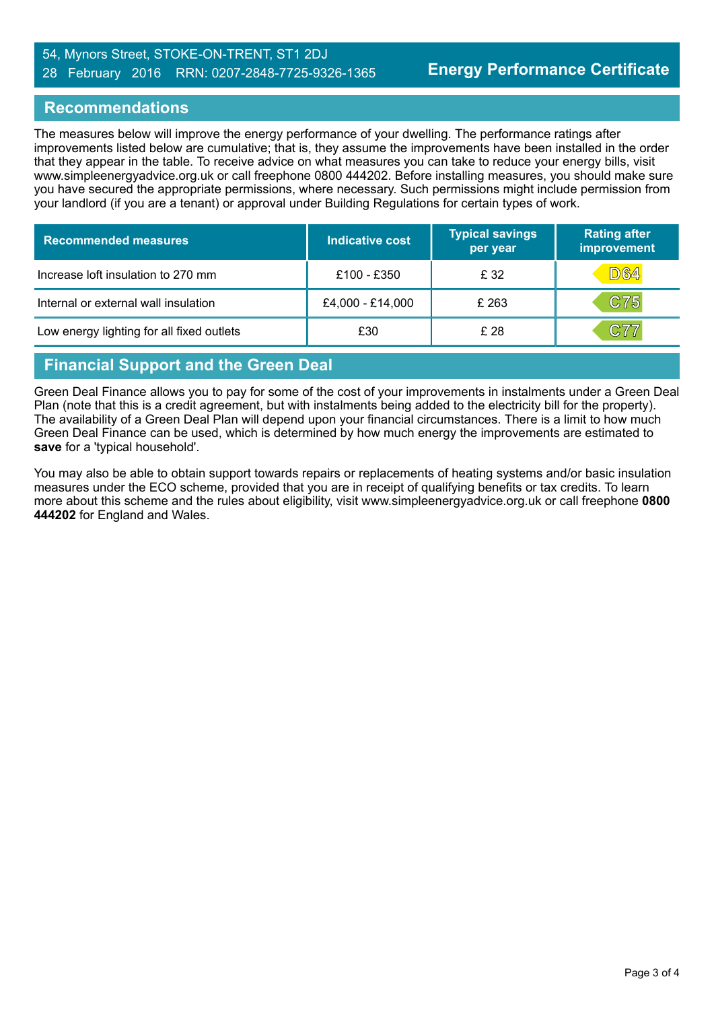#### 54, Mynors Street, STOKE-ON-TRENT, ST1 2DJ 28 February 2016 RRN: 0207-2848-7725-9326-1365

# **Recommendations**

The measures below will improve the energy performance of your dwelling. The performance ratings after improvements listed below are cumulative; that is, they assume the improvements have been installed in the order that they appear in the table. To receive advice on what measures you can take to reduce your energy bills, visit www.simpleenergyadvice.org.uk or call freephone 0800 444202. Before installing measures, you should make sure you have secured the appropriate permissions, where necessary. Such permissions might include permission from your landlord (if you are a tenant) or approval under Building Regulations for certain types of work.

| <b>Recommended measures</b>               | Indicative cost  | <b>Typical savings</b><br>per year | <b>Rating after</b><br>improvement |
|-------------------------------------------|------------------|------------------------------------|------------------------------------|
| Increase loft insulation to 270 mm        | £100 - £350      | £ 32                               | <b>D64</b>                         |
| Internal or external wall insulation      | £4,000 - £14,000 | £ 263                              | C75                                |
| Low energy lighting for all fixed outlets | £30              | £28                                | C77                                |

# **Financial Support and the Green Deal**

Green Deal Finance allows you to pay for some of the cost of your improvements in instalments under a Green Deal Plan (note that this is a credit agreement, but with instalments being added to the electricity bill for the property). The availability of a Green Deal Plan will depend upon your financial circumstances. There is a limit to how much Green Deal Finance can be used, which is determined by how much energy the improvements are estimated to **save** for a 'typical household'.

You may also be able to obtain support towards repairs or replacements of heating systems and/or basic insulation measures under the ECO scheme, provided that you are in receipt of qualifying benefits or tax credits. To learn more about this scheme and the rules about eligibility, visit www.simpleenergyadvice.org.uk or call freephone **0800 444202** for England and Wales.